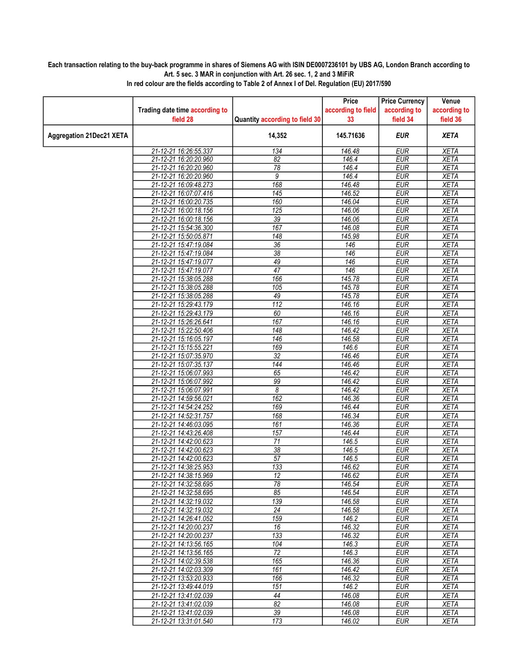## Each transaction relating to the buy-back programme in shares of Siemens AG with ISIN DE0007236101 by UBS AG, London Branch according to Art. 5 sec. 3 MAR in conjunction with Art. 26 sec. 1, 2 and 3 MiFiR

|                                 |                                                |                                    | Price               | <b>Price Currency</b>    | Venue                      |
|---------------------------------|------------------------------------------------|------------------------------------|---------------------|--------------------------|----------------------------|
|                                 | Trading date time according to                 |                                    | according to field  | according to             | according to               |
|                                 | field 28                                       | Quantity according to field 30     | 33                  | field 34                 | field 36                   |
| <b>Aggregation 21Dec21 XETA</b> |                                                | 14,352                             | 145.71636           | <b>EUR</b>               | <b>XETA</b>                |
|                                 | 21-12-21 16:26:55.337                          | 134                                | 146.48              | <b>EUR</b>               | <b>XETA</b>                |
|                                 | 21-12-21 16:20:20.960                          | $\overline{82}$                    | 146.4               | <b>EUR</b>               | <b>XETA</b>                |
|                                 | 21-12-21 16:20:20.960                          | 78                                 | 146.4               | <b>EUR</b>               | <b>XETA</b>                |
|                                 | 21-12-21 16:20:20.960                          | 9                                  | 146.4               | <b>EUR</b>               | <b>XETA</b>                |
|                                 | 21-12-21 16:09:48.273                          | 168                                | 146.48              | <b>EUR</b>               | <b>XETA</b>                |
|                                 | 21-12-21 16:07:07.416                          | 145                                | 146.52              | <b>EUR</b>               | <b>XETA</b>                |
|                                 | 21-12-21 16:00:20.735                          | 160                                | 146.04              | <b>EUR</b>               | <b>XETA</b>                |
|                                 | 21-12-21 16:00:18.156                          | 125                                | 146.06              | <b>EUR</b>               | <b>XETA</b>                |
|                                 | 21-12-21 16:00:18.156                          | $\overline{39}$                    | 146.06              | <b>EUR</b>               | <b>XETA</b>                |
|                                 | 21-12-21 15:54:36.300                          | 167                                | 146.08              | <b>EUR</b>               | <b>XETA</b>                |
|                                 | 21-12-21 15:50:05.871                          | $\overline{148}$                   | 145.98              | <b>EUR</b>               | <b>XETA</b>                |
|                                 | 21-12-21 15:47:19.084                          | $\overline{36}$<br>$\overline{38}$ | 146<br>146          | <b>EUR</b><br><b>EUR</b> | <b>XETA</b><br><b>XETA</b> |
|                                 | 21-12-21 15:47:19.084<br>21-12-21 15:47:19.077 | 49                                 | 146                 | <b>EUR</b>               | <b>XETA</b>                |
|                                 | 21-12-21 15:47:19.077                          | $\overline{47}$                    | 146                 | <b>EUR</b>               | <b>XETA</b>                |
|                                 | 21-12-21 15:38:05.288                          | 166                                | 145.78              | <b>EUR</b>               | <b>XETA</b>                |
|                                 | 21-12-21 15:38:05.288                          | $\overline{105}$                   | 145.78              | <b>EUR</b>               | <b>XETA</b>                |
|                                 | 21-12-21 15:38:05.288                          | 49                                 | 145.78              | <b>EUR</b>               | <b>XETA</b>                |
|                                 | 21-12-21 15:29:43.179                          | $\overline{112}$                   | 146.16              | <b>EUR</b>               | <b>XETA</b>                |
|                                 | 21-12-21 15:29:43.179                          | 60                                 | 146.16              | <b>EUR</b>               | <b>XETA</b>                |
|                                 | 21-12-21 15:26:26.641                          | 167                                | 146.16              | <b>EUR</b>               | <b>XETA</b>                |
|                                 | 21-12-21 15:22:50.406                          | 148                                | 146.42              | <b>EUR</b>               | <b>XETA</b>                |
|                                 | 21-12-21 15:16:05.197                          | $\overline{146}$                   | 146.58              | <b>EUR</b>               | <b>XETA</b>                |
|                                 | 21-12-21 15:15:55.221                          | 169                                | 146.6               | <b>EUR</b>               | <b>XETA</b>                |
|                                 | 21-12-21 15:07:35.970                          | $\overline{32}$                    | 146.46              | <b>EUR</b>               | <b>XETA</b>                |
|                                 | 21-12-21 15:07:35.137                          | 144                                | 146.46              | <b>EUR</b>               | <b>XETA</b>                |
|                                 | 21-12-21 15:06:07.993                          | 65                                 | 146.42              | <b>EUR</b>               | <b>XETA</b>                |
|                                 | 21-12-21 15:06:07.992                          | 99                                 | 146.42              | <b>EUR</b>               | <b>XETA</b>                |
|                                 | 21-12-21 15:06:07.991                          | 8                                  | $\overline{146.42}$ | <b>EUR</b>               | <b>XETA</b>                |
|                                 | 21-12-21 14:59:56.021                          | $\overline{162}$                   | 146.36              | <b>EUR</b>               | <b>XETA</b>                |
|                                 | 21-12-21 14:54:24.252                          | 169                                | 146.44              | <b>EUR</b>               | <b>XETA</b>                |
|                                 | 21-12-21 14:52:31.757                          | 168                                | 146.34              | <b>EUR</b>               | <b>XETA</b>                |
|                                 | 21-12-21 14:46:03.095                          | 161                                | 146.36              | <b>EUR</b>               | <b>XETA</b>                |
|                                 | 21-12-21 14:43:26.408                          | 157                                | 146.44              | <b>EUR</b>               | <b>XETA</b>                |
|                                 | 21-12-21 14:42:00.623                          | 71                                 | 146.5               | <b>EUR</b>               | XETA                       |
|                                 | 21-12-21 14:42:00.623                          | $\overline{38}$                    | 146.5               | <b>EUR</b>               | <b>XETA</b>                |
|                                 | 21-12-21 14:42:00.623<br>21-12-21 14:38:25.953 | 57<br>133                          | 146.5<br>146.62     | <b>EUR</b><br><b>EUR</b> | <b>XETA</b><br><b>XETA</b> |
|                                 | 21-12-21 14:38:15.969                          | $\overline{12}$                    | 146.62              | <b>EUR</b>               | <b>XETA</b>                |
|                                 | 21-12-21 14:32:58.695                          | 78                                 | 146.54              | EUR                      | <b>XETA</b>                |
|                                 | 21-12-21 14:32:58.695                          | 85                                 | 146.54              | EUR                      | XETA                       |
|                                 | 21-12-21 14:32:19.032                          | 139                                | 146.58              | <b>EUR</b>               | <b>XETA</b>                |
|                                 | 21-12-21 14:32:19.032                          | $\overline{24}$                    | 146.58              | <b>EUR</b>               | <b>XETA</b>                |
|                                 | 21-12-21 14:26:41.052                          | 159                                | 146.2               | <b>EUR</b>               | XETA                       |
|                                 | 21-12-21 14:20:00.237                          | 16                                 | 146.32              | <b>EUR</b>               | <b>XETA</b>                |
|                                 | 21-12-21 14:20:00.237                          | 133                                | 146.32              | <b>EUR</b>               | <b>XETA</b>                |
|                                 | 21-12-21 14:13:56.165                          | 104                                | 146.3               | EUR                      | XETA                       |
|                                 | 21-12-21 14:13:56.165                          | $\overline{72}$                    | 146.3               | <b>EUR</b>               | <b>XETA</b>                |
|                                 | 21-12-21 14:02:39.538                          | 165                                | 146.36              | <b>EUR</b>               | <b>XETA</b>                |
|                                 | 21-12-21 14:02:03.309                          | 161                                | 146.42              | <b>EUR</b>               | <b>XETA</b>                |
|                                 | 21-12-21 13:53:20.933                          | 166                                | 146.32              | <b>EUR</b>               | <b>XETA</b>                |
|                                 | 21-12-21 13:49:44.019                          | 151                                | 146.2               | <b>EUR</b>               | <b>XETA</b>                |
|                                 | 21-12-21 13:41:02.039                          | 44                                 | 146.08              | <b>EUR</b>               | <b>XETA</b>                |
|                                 | 21-12-21 13:41:02.039                          | 82                                 | 146.08              | <b>EUR</b>               | <b>XETA</b>                |
|                                 | 21-12-21 13:41:02.039                          | 39                                 | 146.08              | <b>EUR</b>               | XETA                       |
|                                 | 21-12-21 13:31:01.540                          | 173                                | 146.02              | <b>EUR</b>               | <b>XETA</b>                |

In red colour are the fields according to Table 2 of Annex I of Del. Regulation (EU) 2017/590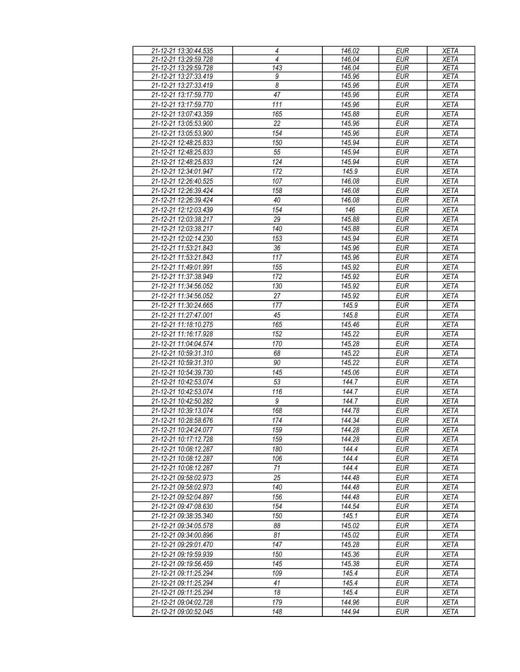| 21-12-21 13:30:44.535 | 4                                | 146.02 | <b>EUR</b> | <b>XETA</b> |
|-----------------------|----------------------------------|--------|------------|-------------|
| 21-12-21 13:29:59.728 | 4                                | 146.04 | <b>EUR</b> | <b>XETA</b> |
| 21-12-21 13:29:59.728 | $\overline{143}$                 | 146.04 | <b>EUR</b> | <b>XETA</b> |
| 21-12-21 13:27:33.419 | 9                                | 145.96 | <b>EUR</b> | <b>XETA</b> |
| 21-12-21 13:27:33.419 | $\overline{\boldsymbol{\delta}}$ | 145.96 | <b>EUR</b> | <b>XETA</b> |
| 21-12-21 13:17:59.770 | 47                               | 145.96 | <b>EUR</b> | <b>XETA</b> |
|                       |                                  |        |            |             |
| 21-12-21 13:17:59.770 | 111                              | 145.96 | <b>EUR</b> | <b>XETA</b> |
| 21-12-21 13:07:43.359 | 165                              | 145.88 | <b>EUR</b> | <b>XETA</b> |
| 21-12-21 13:05:53.900 | 22                               | 145.96 | <b>EUR</b> | <b>XETA</b> |
| 21-12-21 13:05:53.900 | 154                              | 145.96 | <b>EUR</b> | <b>XETA</b> |
| 21-12-21 12:48:25.833 | 150                              | 145.94 | <b>EUR</b> | <b>XETA</b> |
| 21-12-21 12:48:25.833 | 55                               | 145.94 | <b>EUR</b> | <b>XETA</b> |
| 21-12-21 12:48:25.833 | 124                              | 145.94 | <b>EUR</b> | <b>XETA</b> |
| 21-12-21 12:34:01.947 | 172                              | 145.9  | <b>EUR</b> | <b>XETA</b> |
| 21-12-21 12:26:40.525 | 107                              | 146.08 | <b>EUR</b> | <b>XETA</b> |
| 21-12-21 12:26:39.424 | 158                              | 146.08 | <b>EUR</b> | <b>XETA</b> |
|                       |                                  |        |            |             |
| 21-12-21 12:26:39.424 | 40                               | 146.08 | <b>EUR</b> | <b>XETA</b> |
| 21-12-21 12:12:03.439 | 154                              | 146    | <b>EUR</b> | <b>XETA</b> |
| 21-12-21 12:03:38.217 | 29                               | 145.88 | <b>EUR</b> | <b>XETA</b> |
| 21-12-21 12:03:38.217 | 140                              | 145.88 | <b>EUR</b> | <b>XETA</b> |
| 21-12-21 12:02:14.230 | 153                              | 145.94 | <b>EUR</b> | <b>XETA</b> |
| 21-12-21 11:53:21.843 | 36                               | 145.96 | <b>EUR</b> | <b>XETA</b> |
| 21-12-21 11:53:21.843 | 117                              | 145.96 | <b>EUR</b> | <b>XETA</b> |
| 21-12-21 11:49:01.991 | 155                              | 145.92 | <b>EUR</b> | <b>XETA</b> |
| 21-12-21 11:37:38.949 | 172                              | 145.92 | <b>EUR</b> | <b>XETA</b> |
| 21-12-21 11:34:56.052 | 130                              | 145.92 | <b>EUR</b> | <b>XETA</b> |
|                       |                                  |        |            |             |
| 21-12-21 11:34:56.052 | 27                               | 145.92 | <b>EUR</b> | <b>XETA</b> |
| 21-12-21 11:30:24.665 | 177                              | 145.9  | <b>EUR</b> | <b>XETA</b> |
| 21-12-21 11:27:47.001 | 45                               | 145.8  | <b>EUR</b> | <b>XETA</b> |
| 21-12-21 11:18:10.275 | 165                              | 145.46 | <b>EUR</b> | <b>XETA</b> |
| 21-12-21 11:16:17.928 | 152                              | 145.22 | <b>EUR</b> | <b>XETA</b> |
| 21-12-21 11:04:04.574 | 170                              | 145.28 | <b>EUR</b> | <b>XETA</b> |
| 21-12-21 10:59:31.310 | 68                               | 145.22 | <b>EUR</b> | <b>XETA</b> |
| 21-12-21 10:59:31.310 | 90                               | 145.22 | <b>EUR</b> | <b>XETA</b> |
| 21-12-21 10:54:39.730 | 145                              | 145.06 | <b>EUR</b> | <b>XETA</b> |
| 21-12-21 10:42:53.074 | 53                               | 144.7  | <b>EUR</b> | <b>XETA</b> |
| 21-12-21 10:42:53.074 | 116                              | 144.7  | <b>EUR</b> | <b>XETA</b> |
| 21-12-21 10:42:50.282 | 9                                | 144.7  | <b>EUR</b> |             |
|                       |                                  |        |            | <b>XETA</b> |
| 21-12-21 10:39:13.074 | 168                              | 144.78 | EUR        | <b>XETA</b> |
| 21-12-21 10:28:58.676 | 174                              | 144.34 | <b>EUR</b> | <b>XETA</b> |
| 21-12-21 10:24:24.077 | 159                              | 144.28 | EUR        | <b>XETA</b> |
| 21-12-21 10:17:12.728 | 159                              | 144.28 | <b>EUR</b> | <b>XETA</b> |
| 21-12-21 10:08:12.287 | 180                              | 144.4  | EUR        | XETA        |
| 21-12-21 10:08:12.287 | 106                              | 144.4  | EUR        | <b>XETA</b> |
| 21-12-21 10:08:12.287 | 71                               | 144.4  | <b>EUR</b> | <b>XETA</b> |
| 21-12-21 09:58:02.973 | 25                               | 144.48 | <b>EUR</b> | <b>XETA</b> |
| 21-12-21 09:58:02.973 | 140                              | 144.48 | EUR        | <b>XETA</b> |
| 21-12-21 09:52:04.897 | 156                              | 144.48 | <b>EUR</b> | <b>XETA</b> |
| 21-12-21 09:47:08.630 | 154                              | 144.54 | <b>EUR</b> | <b>XETA</b> |
| 21-12-21 09:38:35.340 | 150                              | 145.1  | <b>EUR</b> | <b>XETA</b> |
|                       |                                  |        |            |             |
| 21-12-21 09:34:05.578 | 88                               | 145.02 | EUR        | <b>XETA</b> |
| 21-12-21 09:34:00.896 | 81                               | 145.02 | <b>EUR</b> | <b>XETA</b> |
| 21-12-21 09:29:01.470 | 147                              | 145.28 | <b>EUR</b> | <b>XETA</b> |
| 21-12-21 09:19:59.939 | 150                              | 145.36 | <b>EUR</b> | <b>XETA</b> |
| 21-12-21 09:19:56.459 | 145                              | 145.38 | <b>EUR</b> | <b>XETA</b> |
| 21-12-21 09:11:25.294 | 109                              | 145.4  | <b>EUR</b> | <b>XETA</b> |
| 21-12-21 09:11:25.294 | 41                               | 145.4  | <b>EUR</b> | <b>XETA</b> |
| 21-12-21 09:11:25.294 | 18                               | 145.4  | <b>EUR</b> | <b>XETA</b> |
| 21-12-21 09:04:02.728 | 179                              | 144.96 | <b>EUR</b> | <b>XETA</b> |
| 21-12-21 09:00:52.045 | 148                              | 144.94 | EUR        | <b>XETA</b> |
|                       |                                  |        |            |             |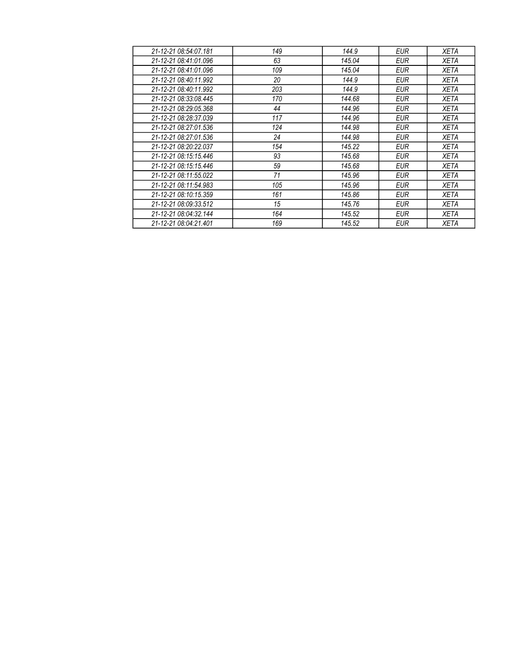| 21-12-21 08:54:07.181 | 149 | 144.9  | EUR        | XETA        |
|-----------------------|-----|--------|------------|-------------|
| 21-12-21 08:41:01.096 | 63  | 145.04 | EUR        | XETA        |
| 21-12-21 08:41:01.096 | 109 | 145.04 | EUR        | <b>XETA</b> |
| 21-12-21 08:40:11.992 | 20  | 144.9  | EUR        | <b>XETA</b> |
| 21-12-21 08:40:11.992 | 203 | 144.9  | <b>EUR</b> | <b>XETA</b> |
| 21-12-21 08:33:08.445 | 170 | 144.68 | <b>EUR</b> | <b>XETA</b> |
| 21-12-21 08:29:05.368 | 44  | 144.96 | <b>EUR</b> | XETA        |
| 21-12-21 08:28:37.039 | 117 | 144.96 | <b>EUR</b> | <b>XETA</b> |
| 21-12-21 08:27:01.536 | 124 | 144.98 | EUR        | XETA        |
| 21-12-21 08:27:01.536 | 24  | 144.98 | <b>EUR</b> | <b>XETA</b> |
| 21-12-21 08:20:22.037 | 154 | 145.22 | <b>EUR</b> | <b>XETA</b> |
| 21-12-21 08:15:15.446 | 93  | 145.68 | EUR        | XETA        |
| 21-12-21 08:15:15.446 | 59  | 145.68 | <b>EUR</b> | <b>XETA</b> |
| 21-12-21 08:11:55.022 | 71  | 145.96 | EUR        | <b>XETA</b> |
| 21-12-21 08:11:54.983 | 105 | 145.96 | EUR        | <b>XETA</b> |
| 21-12-21 08:10:15.359 | 161 | 145.86 | EUR        | <b>XETA</b> |
| 21-12-21 08:09:33.512 | 15  | 145.76 | EUR        | <b>XETA</b> |
| 21-12-21 08:04:32.144 | 164 | 145.52 | EUR        | <b>XETA</b> |
| 21-12-21 08:04:21.401 | 169 | 145.52 | <b>EUR</b> | <b>XETA</b> |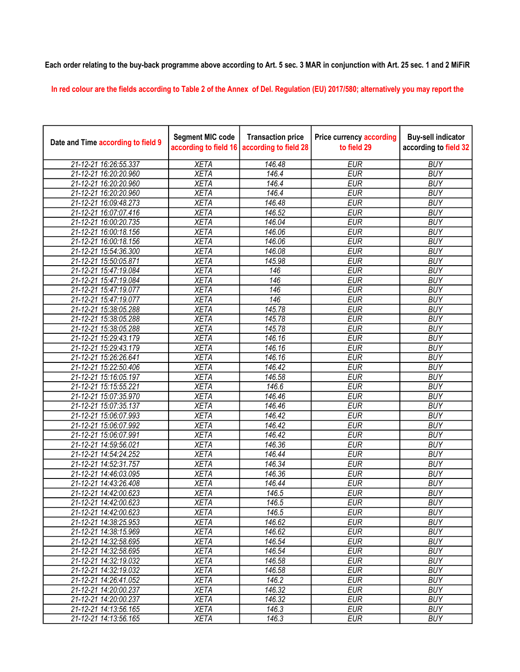## Each order relating to the buy-back programme above according to Art. 5 sec. 3 MAR in conjunction with Art. 25 sec. 1 and 2 MiFiR

In red colour are the fields according to Table 2 of the Annex of Del. Regulation (EU) 2017/580; alternatively you may report the

| Date and Time according to field 9 | <b>Segment MIC code</b><br>according to field 16 | <b>Transaction price</b><br>according to field 28 | <b>Price currency according</b><br>to field 29 | <b>Buy-sell indicator</b><br>according to field 32 |
|------------------------------------|--------------------------------------------------|---------------------------------------------------|------------------------------------------------|----------------------------------------------------|
| 21-12-21 16:26:55.337              | <b>XETA</b>                                      | 146.48                                            | <b>EUR</b>                                     | <b>BUY</b>                                         |
| 21-12-21 16:20:20.960              | <b>XETA</b>                                      | 146.4                                             | <b>EUR</b>                                     | <b>BUY</b>                                         |
| 21-12-21 16:20:20.960              | <b>XETA</b>                                      | 146.4                                             | <b>EUR</b>                                     | <b>BUY</b>                                         |
| 21-12-21 16:20:20.960              | <b>XETA</b>                                      | 146.4                                             | <b>EUR</b>                                     | <b>BUY</b>                                         |
| 21-12-21 16:09:48.273              | <b>XETA</b>                                      | 146.48                                            | <b>EUR</b>                                     | <b>BUY</b>                                         |
| 21-12-21 16:07:07.416              | <b>XETA</b>                                      | 146.52                                            | <b>EUR</b>                                     | <b>BUY</b>                                         |
| 21-12-21 16:00:20.735              | <b>XETA</b>                                      | 146.04                                            | <b>EUR</b>                                     | <b>BUY</b>                                         |
| 21-12-21 16:00:18.156              | <b>XETA</b>                                      | 146.06                                            | <b>EUR</b>                                     | <b>BUY</b>                                         |
| 21-12-21 16:00:18.156              | <b>XETA</b>                                      | 146.06                                            | <b>EUR</b>                                     | <b>BUY</b>                                         |
| 21-12-21 15:54:36.300              | <b>XETA</b>                                      | 146.08                                            | <b>EUR</b>                                     | <b>BUY</b>                                         |
| 21-12-21 15:50:05.871              | <b>XETA</b>                                      | 145.98                                            | <b>EUR</b>                                     | <b>BUY</b>                                         |
| 21-12-21 15:47:19.084              | <b>XETA</b>                                      | 146                                               | <b>EUR</b>                                     | <b>BUY</b>                                         |
| 21-12-21 15:47:19.084              | <b>XETA</b>                                      | 146                                               | <b>EUR</b>                                     | <b>BUY</b>                                         |
| 21-12-21 15:47:19.077              | <b>XETA</b>                                      | 146                                               | <b>EUR</b>                                     | <b>BUY</b>                                         |
| 21-12-21 15:47:19.077              | <b>XETA</b>                                      | 146                                               | <b>EUR</b>                                     | <b>BUY</b>                                         |
| 21-12-21 15:38:05.288              | <b>XETA</b>                                      | 145.78                                            | <b>EUR</b>                                     | <b>BUY</b>                                         |
| 21-12-21 15:38:05.288              | <b>XETA</b>                                      | 145.78                                            | <b>EUR</b>                                     | <b>BUY</b>                                         |
| 21-12-21 15:38:05.288              | <b>XETA</b>                                      | 145.78                                            | <b>EUR</b>                                     | <b>BUY</b>                                         |
| 21-12-21 15:29:43.179              | <b>XETA</b>                                      | 146.16                                            | <b>EUR</b>                                     | <b>BUY</b>                                         |
| 21-12-21 15:29:43.179              | <b>XETA</b>                                      | 146.16                                            | <b>EUR</b>                                     | <b>BUY</b>                                         |
| 21-12-21 15:26:26.641              | <b>XETA</b>                                      | 146.16                                            | <b>EUR</b>                                     | <b>BUY</b>                                         |
| 21-12-21 15:22:50.406              | <b>XETA</b>                                      | 146.42                                            | <b>EUR</b>                                     | <b>BUY</b>                                         |
| 21-12-21 15:16:05.197              | <b>XETA</b>                                      | 146.58                                            | <b>EUR</b>                                     | <b>BUY</b>                                         |
| 21-12-21 15:15:55.221              | <b>XETA</b>                                      | 146.6                                             | <b>EUR</b>                                     | <b>BUY</b>                                         |
| 21-12-21 15:07:35.970              | <b>XETA</b>                                      | 146.46                                            | <b>EUR</b>                                     | <b>BUY</b>                                         |
| 21-12-21 15:07:35.137              | <b>XETA</b>                                      | 146.46                                            | <b>EUR</b>                                     | <b>BUY</b>                                         |
| 21-12-21 15:06:07.993              | <b>XETA</b>                                      | 146.42                                            | <b>EUR</b>                                     | <b>BUY</b>                                         |
| 21-12-21 15:06:07.992              | <b>XETA</b>                                      | 146.42                                            | <b>EUR</b>                                     | <b>BUY</b>                                         |
| 21-12-21 15:06:07.991              | <b>XETA</b>                                      | $\overline{146.42}$                               | <b>EUR</b>                                     | <b>BUY</b>                                         |
| 21-12-21 14:59:56.021              | <b>XETA</b>                                      | 146.36                                            | <b>EUR</b>                                     | <b>BUY</b>                                         |
| 21-12-21 14:54:24.252              | <b>XETA</b>                                      | 146.44                                            | <b>EUR</b>                                     | <b>BUY</b>                                         |
| 21-12-21 14:52:31.757              | <b>XETA</b>                                      | 146.34                                            | <b>EUR</b>                                     | <b>BUY</b>                                         |
| 21-12-21 14:46:03.095              | <b>XETA</b>                                      | 146.36                                            | <b>EUR</b>                                     | <b>BUY</b>                                         |
| 21-12-21 14:43:26.408              | <b>XETA</b>                                      | 146.44                                            | <b>EUR</b>                                     | <b>BUY</b>                                         |
| 21-12-21 14:42:00.623              | <b>XETA</b>                                      | 146.5                                             | <b>EUR</b>                                     | <b>BUY</b>                                         |
| 21-12-21 14:42:00.623              | <b>XETA</b>                                      | 146.5                                             | <b>EUR</b>                                     | <b>BUY</b>                                         |
| 21-12-21 14:42:00.623              | <b>XETA</b>                                      | 146.5                                             | <b>EUR</b>                                     | <b>BUY</b>                                         |
| 21-12-21 14:38:25.953              | <b>XETA</b>                                      | 146.62                                            | <b>EUR</b>                                     | <b>BUY</b>                                         |
| 21-12-21 14:38:15.969              | <b>XETA</b>                                      | 146.62                                            | <b>EUR</b>                                     | <b>BUY</b>                                         |
| 21-12-21 14:32:58.695              | <b>XETA</b>                                      | 146.54                                            | <b>EUR</b>                                     | <b>BUY</b>                                         |
| 21-12-21 14:32:58.695              | <b>XETA</b>                                      | 146.54                                            | <b>EUR</b>                                     | <b>BUY</b>                                         |
| 21-12-21 14:32:19.032              | <b>XETA</b>                                      | 146.58                                            | <b>EUR</b>                                     | <b>BUY</b>                                         |
| 21-12-21 14:32:19.032              | <b>XETA</b>                                      | 146.58                                            | <b>EUR</b>                                     | <b>BUY</b>                                         |
| 21-12-21 14:26:41.052              | <b>XETA</b>                                      | 146.2                                             | <b>EUR</b>                                     | <b>BUY</b>                                         |
| 21-12-21 14:20:00.237              | <b>XETA</b>                                      | 146.32                                            | <b>EUR</b>                                     | <b>BUY</b>                                         |
| 21-12-21 14:20:00.237              | <b>XETA</b>                                      | 146.32                                            | <b>EUR</b>                                     | <b>BUY</b>                                         |
| 21-12-21 14:13:56.165              | <b>XETA</b>                                      | 146.3                                             | <b>EUR</b>                                     | <b>BUY</b>                                         |
| 21-12-21 14:13:56.165              | <b>XETA</b>                                      | 146.3                                             | <b>EUR</b>                                     | <b>BUY</b>                                         |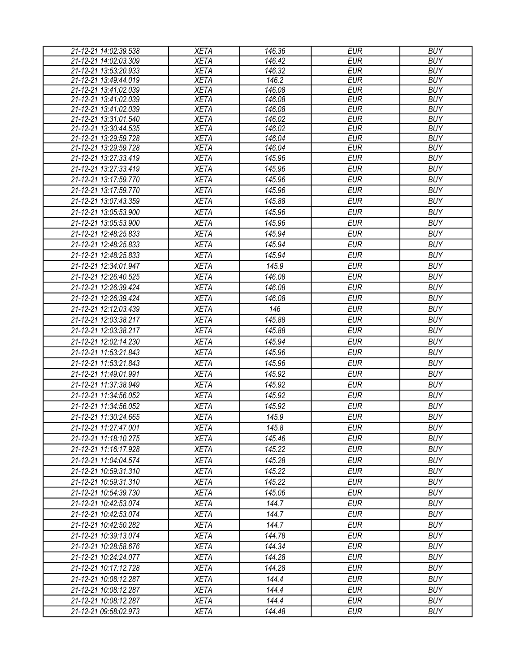| <b>XETA</b><br>146.42<br><b>EUR</b><br>21-12-21 14:02:03.309<br><b>BUY</b><br><b>EUR</b><br><b>BUY</b><br>21-12-21 13:53:20.933<br><b>XETA</b><br>146.32<br>21-12-21 13:49:44.019<br><b>XETA</b><br>146.2<br><b>EUR</b><br><b>BUY</b><br><b>XETA</b><br>21-12-21 13:41:02.039<br>146.08<br><b>EUR</b><br><b>BUY</b><br><b>XETA</b><br><b>EUR</b><br>21-12-21 13:41:02.039<br>146.08<br><b>BUY</b><br><b>EUR</b><br>21-12-21 13:41:02.039<br><b>XETA</b><br>146.08<br><b>BUY</b><br>21-12-21 13:31:01.540<br><b>XETA</b><br>146.02<br><b>EUR</b><br><b>BUY</b><br>21-12-21 13:30:44.535<br><b>XETA</b><br>146.02<br><b>EUR</b><br><b>BUY</b><br>21-12-21 13:29:59.728<br><b>XETA</b><br>146.04<br><b>EUR</b><br><b>BUY</b><br><b>XETA</b><br>146.04<br><b>EUR</b><br><b>BUY</b><br>21-12-21 13:29:59.728<br><b>EUR</b><br><b>XETA</b><br>145.96<br><b>BUY</b><br>21-12-21 13:27:33.419<br><b>XETA</b><br>145.96<br><b>EUR</b><br><b>BUY</b><br>21-12-21 13:27:33.419<br>21-12-21 13:17:59.770<br><b>XETA</b><br>145.96<br><b>EUR</b><br><b>BUY</b><br><b>EUR</b><br><b>BUY</b><br>21-12-21 13:17:59.770<br><b>XETA</b><br>145.96<br><b>EUR</b><br><b>BUY</b><br>21-12-21 13:07:43.359<br><b>XETA</b><br>145.88<br><b>BUY</b><br>21-12-21 13:05:53.900<br><b>XETA</b><br>145.96<br><b>EUR</b><br><b>EUR</b><br><b>BUY</b><br>21-12-21 13:05:53.900<br><b>XETA</b><br>145.96<br><b>XETA</b><br>145.94<br><b>EUR</b><br><b>BUY</b><br>21-12-21 12:48:25.833<br><b>EUR</b><br><b>BUY</b><br><b>XETA</b><br>145.94<br>21-12-21 12:48:25.833<br><b>XETA</b><br>145.94<br><b>EUR</b><br><b>BUY</b><br>21-12-21 12:48:25.833<br><b>XETA</b><br>145.9<br><b>EUR</b><br><b>BUY</b><br>21-12-21 12:34:01.947<br>146.08<br><b>EUR</b><br><b>BUY</b><br>21-12-21 12:26:40.525<br><b>XETA</b><br><b>EUR</b><br><b>BUY</b><br>21-12-21 12:26:39.424<br><b>XETA</b><br>146.08<br>21-12-21 12:26:39.424<br><b>XETA</b><br>146.08<br><b>EUR</b><br><b>BUY</b><br>21-12-21 12:12:03.439<br><b>XETA</b><br>146<br><b>EUR</b><br><b>BUY</b><br><b>EUR</b><br>21-12-21 12:03:38.217<br><b>XETA</b><br>145.88<br><b>BUY</b><br><b>EUR</b><br><b>BUY</b><br>21-12-21 12:03:38.217<br><b>XETA</b><br>145.88<br><b>EUR</b><br><b>BUY</b><br>21-12-21 12:02:14.230<br>145.94<br><b>XETA</b><br>21-12-21 11:53:21.843<br><b>XETA</b><br>145.96<br><b>EUR</b><br><b>BUY</b><br>21-12-21 11:53:21.843<br>145.96<br><b>EUR</b><br><b>BUY</b><br><b>XETA</b><br>21-12-21 11:49:01.991<br><b>XETA</b><br>145.92<br><b>EUR</b><br><b>BUY</b><br>21-12-21 11:37:38.949<br><b>EUR</b><br><b>BUY</b><br><b>XETA</b><br>145.92<br>21-12-21 11:34:56.052<br><b>BUY</b><br><b>XETA</b><br>145.92<br><b>EUR</b><br><b>XETA</b><br>145.92<br><b>EUR</b><br><b>BUY</b><br>21-12-21 11:34:56.052<br>21-12-21 11:30:24.665<br><b>XETA</b><br>145.9<br><b>EUR</b><br><b>BUY</b><br><b>XETA</b><br>145.8<br>21-12-21 11:27:47.001<br><b>EUR</b><br><b>BUY</b><br><b>XETA</b><br>145.46<br>EUR<br><b>BUY</b><br>21-12-21 11:18:10.275<br>145.22<br><b>EUR</b><br><b>BUY</b><br>21-12-21 11:16:17.928<br><b>XETA</b><br>145.28<br><b>EUR</b><br><b>BUY</b><br>21-12-21 11:04:04.574<br><b>XETA</b><br>145.22<br><b>EUR</b><br><b>BUY</b><br>21-12-21 10:59:31.310<br><b>XETA</b><br><b>BUY</b><br><b>XETA</b><br>145.22<br><b>EUR</b><br>21-12-21 10:59:31.310<br><b>BUY</b><br><b>XETA</b><br>145.06<br><b>EUR</b><br>21-12-21 10:54:39.730<br><b>EUR</b><br><b>BUY</b><br><b>XETA</b><br>144.7<br>21-12-21 10:42:53.074<br>144.7<br><b>EUR</b><br><b>BUY</b><br>21-12-21 10:42:53.074<br><b>XETA</b><br><b>XETA</b><br>144.7<br><b>EUR</b><br><b>BUY</b><br>21-12-21 10:42:50.282<br><b>XETA</b><br>144.78<br><b>EUR</b><br><b>BUY</b><br>21-12-21 10:39:13.074<br><b>EUR</b><br><b>BUY</b><br><b>XETA</b><br>144.34<br>21-12-21 10:28:58.676<br>144.28<br><b>EUR</b><br><b>BUY</b><br>21-12-21 10:24:24.077<br><b>XETA</b><br><b>BUY</b><br><b>XETA</b><br>144.28<br><b>EUR</b><br>21-12-21 10:17:12.728<br><b>XETA</b><br>144.4<br><b>EUR</b><br><b>BUY</b><br>21-12-21 10:08:12.287<br>144.4<br><b>EUR</b><br><b>BUY</b><br>21-12-21 10:08:12.287<br><b>XETA</b><br>144.4<br><b>EUR</b><br><b>BUY</b><br>21-12-21 10:08:12.287<br><b>XETA</b> | 21-12-21 14:02:39.538 | <b>XETA</b> | 146.36 | <b>EUR</b> | <b>BUY</b> |
|--------------------------------------------------------------------------------------------------------------------------------------------------------------------------------------------------------------------------------------------------------------------------------------------------------------------------------------------------------------------------------------------------------------------------------------------------------------------------------------------------------------------------------------------------------------------------------------------------------------------------------------------------------------------------------------------------------------------------------------------------------------------------------------------------------------------------------------------------------------------------------------------------------------------------------------------------------------------------------------------------------------------------------------------------------------------------------------------------------------------------------------------------------------------------------------------------------------------------------------------------------------------------------------------------------------------------------------------------------------------------------------------------------------------------------------------------------------------------------------------------------------------------------------------------------------------------------------------------------------------------------------------------------------------------------------------------------------------------------------------------------------------------------------------------------------------------------------------------------------------------------------------------------------------------------------------------------------------------------------------------------------------------------------------------------------------------------------------------------------------------------------------------------------------------------------------------------------------------------------------------------------------------------------------------------------------------------------------------------------------------------------------------------------------------------------------------------------------------------------------------------------------------------------------------------------------------------------------------------------------------------------------------------------------------------------------------------------------------------------------------------------------------------------------------------------------------------------------------------------------------------------------------------------------------------------------------------------------------------------------------------------------------------------------------------------------------------------------------------------------------------------------------------------------------------------------------------------------------------------------------------------------------------------------------------------------------------------------------------------------------------------------------------------------------------------------------------------------------------------------------------------------------------------------------------------------------------------------------------------------------------------------------------------------------------------------------------------------------------------------------------------------------------------------------------------------------------------------------------------------------------------------------------------------------------------------------------------------------------------------------------------------------------------------------------------------------------------------------------------------------------------------------------------------------------------------------|-----------------------|-------------|--------|------------|------------|
|                                                                                                                                                                                                                                                                                                                                                                                                                                                                                                                                                                                                                                                                                                                                                                                                                                                                                                                                                                                                                                                                                                                                                                                                                                                                                                                                                                                                                                                                                                                                                                                                                                                                                                                                                                                                                                                                                                                                                                                                                                                                                                                                                                                                                                                                                                                                                                                                                                                                                                                                                                                                                                                                                                                                                                                                                                                                                                                                                                                                                                                                                                                                                                                                                                                                                                                                                                                                                                                                                                                                                                                                                                                                                                                                                                                                                                                                                                                                                                                                                                                                                                                                                                                                  |                       |             |        |            |            |
|                                                                                                                                                                                                                                                                                                                                                                                                                                                                                                                                                                                                                                                                                                                                                                                                                                                                                                                                                                                                                                                                                                                                                                                                                                                                                                                                                                                                                                                                                                                                                                                                                                                                                                                                                                                                                                                                                                                                                                                                                                                                                                                                                                                                                                                                                                                                                                                                                                                                                                                                                                                                                                                                                                                                                                                                                                                                                                                                                                                                                                                                                                                                                                                                                                                                                                                                                                                                                                                                                                                                                                                                                                                                                                                                                                                                                                                                                                                                                                                                                                                                                                                                                                                                  |                       |             |        |            |            |
|                                                                                                                                                                                                                                                                                                                                                                                                                                                                                                                                                                                                                                                                                                                                                                                                                                                                                                                                                                                                                                                                                                                                                                                                                                                                                                                                                                                                                                                                                                                                                                                                                                                                                                                                                                                                                                                                                                                                                                                                                                                                                                                                                                                                                                                                                                                                                                                                                                                                                                                                                                                                                                                                                                                                                                                                                                                                                                                                                                                                                                                                                                                                                                                                                                                                                                                                                                                                                                                                                                                                                                                                                                                                                                                                                                                                                                                                                                                                                                                                                                                                                                                                                                                                  |                       |             |        |            |            |
|                                                                                                                                                                                                                                                                                                                                                                                                                                                                                                                                                                                                                                                                                                                                                                                                                                                                                                                                                                                                                                                                                                                                                                                                                                                                                                                                                                                                                                                                                                                                                                                                                                                                                                                                                                                                                                                                                                                                                                                                                                                                                                                                                                                                                                                                                                                                                                                                                                                                                                                                                                                                                                                                                                                                                                                                                                                                                                                                                                                                                                                                                                                                                                                                                                                                                                                                                                                                                                                                                                                                                                                                                                                                                                                                                                                                                                                                                                                                                                                                                                                                                                                                                                                                  |                       |             |        |            |            |
|                                                                                                                                                                                                                                                                                                                                                                                                                                                                                                                                                                                                                                                                                                                                                                                                                                                                                                                                                                                                                                                                                                                                                                                                                                                                                                                                                                                                                                                                                                                                                                                                                                                                                                                                                                                                                                                                                                                                                                                                                                                                                                                                                                                                                                                                                                                                                                                                                                                                                                                                                                                                                                                                                                                                                                                                                                                                                                                                                                                                                                                                                                                                                                                                                                                                                                                                                                                                                                                                                                                                                                                                                                                                                                                                                                                                                                                                                                                                                                                                                                                                                                                                                                                                  |                       |             |        |            |            |
|                                                                                                                                                                                                                                                                                                                                                                                                                                                                                                                                                                                                                                                                                                                                                                                                                                                                                                                                                                                                                                                                                                                                                                                                                                                                                                                                                                                                                                                                                                                                                                                                                                                                                                                                                                                                                                                                                                                                                                                                                                                                                                                                                                                                                                                                                                                                                                                                                                                                                                                                                                                                                                                                                                                                                                                                                                                                                                                                                                                                                                                                                                                                                                                                                                                                                                                                                                                                                                                                                                                                                                                                                                                                                                                                                                                                                                                                                                                                                                                                                                                                                                                                                                                                  |                       |             |        |            |            |
|                                                                                                                                                                                                                                                                                                                                                                                                                                                                                                                                                                                                                                                                                                                                                                                                                                                                                                                                                                                                                                                                                                                                                                                                                                                                                                                                                                                                                                                                                                                                                                                                                                                                                                                                                                                                                                                                                                                                                                                                                                                                                                                                                                                                                                                                                                                                                                                                                                                                                                                                                                                                                                                                                                                                                                                                                                                                                                                                                                                                                                                                                                                                                                                                                                                                                                                                                                                                                                                                                                                                                                                                                                                                                                                                                                                                                                                                                                                                                                                                                                                                                                                                                                                                  |                       |             |        |            |            |
|                                                                                                                                                                                                                                                                                                                                                                                                                                                                                                                                                                                                                                                                                                                                                                                                                                                                                                                                                                                                                                                                                                                                                                                                                                                                                                                                                                                                                                                                                                                                                                                                                                                                                                                                                                                                                                                                                                                                                                                                                                                                                                                                                                                                                                                                                                                                                                                                                                                                                                                                                                                                                                                                                                                                                                                                                                                                                                                                                                                                                                                                                                                                                                                                                                                                                                                                                                                                                                                                                                                                                                                                                                                                                                                                                                                                                                                                                                                                                                                                                                                                                                                                                                                                  |                       |             |        |            |            |
|                                                                                                                                                                                                                                                                                                                                                                                                                                                                                                                                                                                                                                                                                                                                                                                                                                                                                                                                                                                                                                                                                                                                                                                                                                                                                                                                                                                                                                                                                                                                                                                                                                                                                                                                                                                                                                                                                                                                                                                                                                                                                                                                                                                                                                                                                                                                                                                                                                                                                                                                                                                                                                                                                                                                                                                                                                                                                                                                                                                                                                                                                                                                                                                                                                                                                                                                                                                                                                                                                                                                                                                                                                                                                                                                                                                                                                                                                                                                                                                                                                                                                                                                                                                                  |                       |             |        |            |            |
|                                                                                                                                                                                                                                                                                                                                                                                                                                                                                                                                                                                                                                                                                                                                                                                                                                                                                                                                                                                                                                                                                                                                                                                                                                                                                                                                                                                                                                                                                                                                                                                                                                                                                                                                                                                                                                                                                                                                                                                                                                                                                                                                                                                                                                                                                                                                                                                                                                                                                                                                                                                                                                                                                                                                                                                                                                                                                                                                                                                                                                                                                                                                                                                                                                                                                                                                                                                                                                                                                                                                                                                                                                                                                                                                                                                                                                                                                                                                                                                                                                                                                                                                                                                                  |                       |             |        |            |            |
|                                                                                                                                                                                                                                                                                                                                                                                                                                                                                                                                                                                                                                                                                                                                                                                                                                                                                                                                                                                                                                                                                                                                                                                                                                                                                                                                                                                                                                                                                                                                                                                                                                                                                                                                                                                                                                                                                                                                                                                                                                                                                                                                                                                                                                                                                                                                                                                                                                                                                                                                                                                                                                                                                                                                                                                                                                                                                                                                                                                                                                                                                                                                                                                                                                                                                                                                                                                                                                                                                                                                                                                                                                                                                                                                                                                                                                                                                                                                                                                                                                                                                                                                                                                                  |                       |             |        |            |            |
|                                                                                                                                                                                                                                                                                                                                                                                                                                                                                                                                                                                                                                                                                                                                                                                                                                                                                                                                                                                                                                                                                                                                                                                                                                                                                                                                                                                                                                                                                                                                                                                                                                                                                                                                                                                                                                                                                                                                                                                                                                                                                                                                                                                                                                                                                                                                                                                                                                                                                                                                                                                                                                                                                                                                                                                                                                                                                                                                                                                                                                                                                                                                                                                                                                                                                                                                                                                                                                                                                                                                                                                                                                                                                                                                                                                                                                                                                                                                                                                                                                                                                                                                                                                                  |                       |             |        |            |            |
|                                                                                                                                                                                                                                                                                                                                                                                                                                                                                                                                                                                                                                                                                                                                                                                                                                                                                                                                                                                                                                                                                                                                                                                                                                                                                                                                                                                                                                                                                                                                                                                                                                                                                                                                                                                                                                                                                                                                                                                                                                                                                                                                                                                                                                                                                                                                                                                                                                                                                                                                                                                                                                                                                                                                                                                                                                                                                                                                                                                                                                                                                                                                                                                                                                                                                                                                                                                                                                                                                                                                                                                                                                                                                                                                                                                                                                                                                                                                                                                                                                                                                                                                                                                                  |                       |             |        |            |            |
|                                                                                                                                                                                                                                                                                                                                                                                                                                                                                                                                                                                                                                                                                                                                                                                                                                                                                                                                                                                                                                                                                                                                                                                                                                                                                                                                                                                                                                                                                                                                                                                                                                                                                                                                                                                                                                                                                                                                                                                                                                                                                                                                                                                                                                                                                                                                                                                                                                                                                                                                                                                                                                                                                                                                                                                                                                                                                                                                                                                                                                                                                                                                                                                                                                                                                                                                                                                                                                                                                                                                                                                                                                                                                                                                                                                                                                                                                                                                                                                                                                                                                                                                                                                                  |                       |             |        |            |            |
|                                                                                                                                                                                                                                                                                                                                                                                                                                                                                                                                                                                                                                                                                                                                                                                                                                                                                                                                                                                                                                                                                                                                                                                                                                                                                                                                                                                                                                                                                                                                                                                                                                                                                                                                                                                                                                                                                                                                                                                                                                                                                                                                                                                                                                                                                                                                                                                                                                                                                                                                                                                                                                                                                                                                                                                                                                                                                                                                                                                                                                                                                                                                                                                                                                                                                                                                                                                                                                                                                                                                                                                                                                                                                                                                                                                                                                                                                                                                                                                                                                                                                                                                                                                                  |                       |             |        |            |            |
|                                                                                                                                                                                                                                                                                                                                                                                                                                                                                                                                                                                                                                                                                                                                                                                                                                                                                                                                                                                                                                                                                                                                                                                                                                                                                                                                                                                                                                                                                                                                                                                                                                                                                                                                                                                                                                                                                                                                                                                                                                                                                                                                                                                                                                                                                                                                                                                                                                                                                                                                                                                                                                                                                                                                                                                                                                                                                                                                                                                                                                                                                                                                                                                                                                                                                                                                                                                                                                                                                                                                                                                                                                                                                                                                                                                                                                                                                                                                                                                                                                                                                                                                                                                                  |                       |             |        |            |            |
|                                                                                                                                                                                                                                                                                                                                                                                                                                                                                                                                                                                                                                                                                                                                                                                                                                                                                                                                                                                                                                                                                                                                                                                                                                                                                                                                                                                                                                                                                                                                                                                                                                                                                                                                                                                                                                                                                                                                                                                                                                                                                                                                                                                                                                                                                                                                                                                                                                                                                                                                                                                                                                                                                                                                                                                                                                                                                                                                                                                                                                                                                                                                                                                                                                                                                                                                                                                                                                                                                                                                                                                                                                                                                                                                                                                                                                                                                                                                                                                                                                                                                                                                                                                                  |                       |             |        |            |            |
|                                                                                                                                                                                                                                                                                                                                                                                                                                                                                                                                                                                                                                                                                                                                                                                                                                                                                                                                                                                                                                                                                                                                                                                                                                                                                                                                                                                                                                                                                                                                                                                                                                                                                                                                                                                                                                                                                                                                                                                                                                                                                                                                                                                                                                                                                                                                                                                                                                                                                                                                                                                                                                                                                                                                                                                                                                                                                                                                                                                                                                                                                                                                                                                                                                                                                                                                                                                                                                                                                                                                                                                                                                                                                                                                                                                                                                                                                                                                                                                                                                                                                                                                                                                                  |                       |             |        |            |            |
|                                                                                                                                                                                                                                                                                                                                                                                                                                                                                                                                                                                                                                                                                                                                                                                                                                                                                                                                                                                                                                                                                                                                                                                                                                                                                                                                                                                                                                                                                                                                                                                                                                                                                                                                                                                                                                                                                                                                                                                                                                                                                                                                                                                                                                                                                                                                                                                                                                                                                                                                                                                                                                                                                                                                                                                                                                                                                                                                                                                                                                                                                                                                                                                                                                                                                                                                                                                                                                                                                                                                                                                                                                                                                                                                                                                                                                                                                                                                                                                                                                                                                                                                                                                                  |                       |             |        |            |            |
|                                                                                                                                                                                                                                                                                                                                                                                                                                                                                                                                                                                                                                                                                                                                                                                                                                                                                                                                                                                                                                                                                                                                                                                                                                                                                                                                                                                                                                                                                                                                                                                                                                                                                                                                                                                                                                                                                                                                                                                                                                                                                                                                                                                                                                                                                                                                                                                                                                                                                                                                                                                                                                                                                                                                                                                                                                                                                                                                                                                                                                                                                                                                                                                                                                                                                                                                                                                                                                                                                                                                                                                                                                                                                                                                                                                                                                                                                                                                                                                                                                                                                                                                                                                                  |                       |             |        |            |            |
|                                                                                                                                                                                                                                                                                                                                                                                                                                                                                                                                                                                                                                                                                                                                                                                                                                                                                                                                                                                                                                                                                                                                                                                                                                                                                                                                                                                                                                                                                                                                                                                                                                                                                                                                                                                                                                                                                                                                                                                                                                                                                                                                                                                                                                                                                                                                                                                                                                                                                                                                                                                                                                                                                                                                                                                                                                                                                                                                                                                                                                                                                                                                                                                                                                                                                                                                                                                                                                                                                                                                                                                                                                                                                                                                                                                                                                                                                                                                                                                                                                                                                                                                                                                                  |                       |             |        |            |            |
|                                                                                                                                                                                                                                                                                                                                                                                                                                                                                                                                                                                                                                                                                                                                                                                                                                                                                                                                                                                                                                                                                                                                                                                                                                                                                                                                                                                                                                                                                                                                                                                                                                                                                                                                                                                                                                                                                                                                                                                                                                                                                                                                                                                                                                                                                                                                                                                                                                                                                                                                                                                                                                                                                                                                                                                                                                                                                                                                                                                                                                                                                                                                                                                                                                                                                                                                                                                                                                                                                                                                                                                                                                                                                                                                                                                                                                                                                                                                                                                                                                                                                                                                                                                                  |                       |             |        |            |            |
|                                                                                                                                                                                                                                                                                                                                                                                                                                                                                                                                                                                                                                                                                                                                                                                                                                                                                                                                                                                                                                                                                                                                                                                                                                                                                                                                                                                                                                                                                                                                                                                                                                                                                                                                                                                                                                                                                                                                                                                                                                                                                                                                                                                                                                                                                                                                                                                                                                                                                                                                                                                                                                                                                                                                                                                                                                                                                                                                                                                                                                                                                                                                                                                                                                                                                                                                                                                                                                                                                                                                                                                                                                                                                                                                                                                                                                                                                                                                                                                                                                                                                                                                                                                                  |                       |             |        |            |            |
|                                                                                                                                                                                                                                                                                                                                                                                                                                                                                                                                                                                                                                                                                                                                                                                                                                                                                                                                                                                                                                                                                                                                                                                                                                                                                                                                                                                                                                                                                                                                                                                                                                                                                                                                                                                                                                                                                                                                                                                                                                                                                                                                                                                                                                                                                                                                                                                                                                                                                                                                                                                                                                                                                                                                                                                                                                                                                                                                                                                                                                                                                                                                                                                                                                                                                                                                                                                                                                                                                                                                                                                                                                                                                                                                                                                                                                                                                                                                                                                                                                                                                                                                                                                                  |                       |             |        |            |            |
|                                                                                                                                                                                                                                                                                                                                                                                                                                                                                                                                                                                                                                                                                                                                                                                                                                                                                                                                                                                                                                                                                                                                                                                                                                                                                                                                                                                                                                                                                                                                                                                                                                                                                                                                                                                                                                                                                                                                                                                                                                                                                                                                                                                                                                                                                                                                                                                                                                                                                                                                                                                                                                                                                                                                                                                                                                                                                                                                                                                                                                                                                                                                                                                                                                                                                                                                                                                                                                                                                                                                                                                                                                                                                                                                                                                                                                                                                                                                                                                                                                                                                                                                                                                                  |                       |             |        |            |            |
|                                                                                                                                                                                                                                                                                                                                                                                                                                                                                                                                                                                                                                                                                                                                                                                                                                                                                                                                                                                                                                                                                                                                                                                                                                                                                                                                                                                                                                                                                                                                                                                                                                                                                                                                                                                                                                                                                                                                                                                                                                                                                                                                                                                                                                                                                                                                                                                                                                                                                                                                                                                                                                                                                                                                                                                                                                                                                                                                                                                                                                                                                                                                                                                                                                                                                                                                                                                                                                                                                                                                                                                                                                                                                                                                                                                                                                                                                                                                                                                                                                                                                                                                                                                                  |                       |             |        |            |            |
|                                                                                                                                                                                                                                                                                                                                                                                                                                                                                                                                                                                                                                                                                                                                                                                                                                                                                                                                                                                                                                                                                                                                                                                                                                                                                                                                                                                                                                                                                                                                                                                                                                                                                                                                                                                                                                                                                                                                                                                                                                                                                                                                                                                                                                                                                                                                                                                                                                                                                                                                                                                                                                                                                                                                                                                                                                                                                                                                                                                                                                                                                                                                                                                                                                                                                                                                                                                                                                                                                                                                                                                                                                                                                                                                                                                                                                                                                                                                                                                                                                                                                                                                                                                                  |                       |             |        |            |            |
|                                                                                                                                                                                                                                                                                                                                                                                                                                                                                                                                                                                                                                                                                                                                                                                                                                                                                                                                                                                                                                                                                                                                                                                                                                                                                                                                                                                                                                                                                                                                                                                                                                                                                                                                                                                                                                                                                                                                                                                                                                                                                                                                                                                                                                                                                                                                                                                                                                                                                                                                                                                                                                                                                                                                                                                                                                                                                                                                                                                                                                                                                                                                                                                                                                                                                                                                                                                                                                                                                                                                                                                                                                                                                                                                                                                                                                                                                                                                                                                                                                                                                                                                                                                                  |                       |             |        |            |            |
|                                                                                                                                                                                                                                                                                                                                                                                                                                                                                                                                                                                                                                                                                                                                                                                                                                                                                                                                                                                                                                                                                                                                                                                                                                                                                                                                                                                                                                                                                                                                                                                                                                                                                                                                                                                                                                                                                                                                                                                                                                                                                                                                                                                                                                                                                                                                                                                                                                                                                                                                                                                                                                                                                                                                                                                                                                                                                                                                                                                                                                                                                                                                                                                                                                                                                                                                                                                                                                                                                                                                                                                                                                                                                                                                                                                                                                                                                                                                                                                                                                                                                                                                                                                                  |                       |             |        |            |            |
|                                                                                                                                                                                                                                                                                                                                                                                                                                                                                                                                                                                                                                                                                                                                                                                                                                                                                                                                                                                                                                                                                                                                                                                                                                                                                                                                                                                                                                                                                                                                                                                                                                                                                                                                                                                                                                                                                                                                                                                                                                                                                                                                                                                                                                                                                                                                                                                                                                                                                                                                                                                                                                                                                                                                                                                                                                                                                                                                                                                                                                                                                                                                                                                                                                                                                                                                                                                                                                                                                                                                                                                                                                                                                                                                                                                                                                                                                                                                                                                                                                                                                                                                                                                                  |                       |             |        |            |            |
|                                                                                                                                                                                                                                                                                                                                                                                                                                                                                                                                                                                                                                                                                                                                                                                                                                                                                                                                                                                                                                                                                                                                                                                                                                                                                                                                                                                                                                                                                                                                                                                                                                                                                                                                                                                                                                                                                                                                                                                                                                                                                                                                                                                                                                                                                                                                                                                                                                                                                                                                                                                                                                                                                                                                                                                                                                                                                                                                                                                                                                                                                                                                                                                                                                                                                                                                                                                                                                                                                                                                                                                                                                                                                                                                                                                                                                                                                                                                                                                                                                                                                                                                                                                                  |                       |             |        |            |            |
|                                                                                                                                                                                                                                                                                                                                                                                                                                                                                                                                                                                                                                                                                                                                                                                                                                                                                                                                                                                                                                                                                                                                                                                                                                                                                                                                                                                                                                                                                                                                                                                                                                                                                                                                                                                                                                                                                                                                                                                                                                                                                                                                                                                                                                                                                                                                                                                                                                                                                                                                                                                                                                                                                                                                                                                                                                                                                                                                                                                                                                                                                                                                                                                                                                                                                                                                                                                                                                                                                                                                                                                                                                                                                                                                                                                                                                                                                                                                                                                                                                                                                                                                                                                                  |                       |             |        |            |            |
|                                                                                                                                                                                                                                                                                                                                                                                                                                                                                                                                                                                                                                                                                                                                                                                                                                                                                                                                                                                                                                                                                                                                                                                                                                                                                                                                                                                                                                                                                                                                                                                                                                                                                                                                                                                                                                                                                                                                                                                                                                                                                                                                                                                                                                                                                                                                                                                                                                                                                                                                                                                                                                                                                                                                                                                                                                                                                                                                                                                                                                                                                                                                                                                                                                                                                                                                                                                                                                                                                                                                                                                                                                                                                                                                                                                                                                                                                                                                                                                                                                                                                                                                                                                                  |                       |             |        |            |            |
|                                                                                                                                                                                                                                                                                                                                                                                                                                                                                                                                                                                                                                                                                                                                                                                                                                                                                                                                                                                                                                                                                                                                                                                                                                                                                                                                                                                                                                                                                                                                                                                                                                                                                                                                                                                                                                                                                                                                                                                                                                                                                                                                                                                                                                                                                                                                                                                                                                                                                                                                                                                                                                                                                                                                                                                                                                                                                                                                                                                                                                                                                                                                                                                                                                                                                                                                                                                                                                                                                                                                                                                                                                                                                                                                                                                                                                                                                                                                                                                                                                                                                                                                                                                                  |                       |             |        |            |            |
|                                                                                                                                                                                                                                                                                                                                                                                                                                                                                                                                                                                                                                                                                                                                                                                                                                                                                                                                                                                                                                                                                                                                                                                                                                                                                                                                                                                                                                                                                                                                                                                                                                                                                                                                                                                                                                                                                                                                                                                                                                                                                                                                                                                                                                                                                                                                                                                                                                                                                                                                                                                                                                                                                                                                                                                                                                                                                                                                                                                                                                                                                                                                                                                                                                                                                                                                                                                                                                                                                                                                                                                                                                                                                                                                                                                                                                                                                                                                                                                                                                                                                                                                                                                                  |                       |             |        |            |            |
|                                                                                                                                                                                                                                                                                                                                                                                                                                                                                                                                                                                                                                                                                                                                                                                                                                                                                                                                                                                                                                                                                                                                                                                                                                                                                                                                                                                                                                                                                                                                                                                                                                                                                                                                                                                                                                                                                                                                                                                                                                                                                                                                                                                                                                                                                                                                                                                                                                                                                                                                                                                                                                                                                                                                                                                                                                                                                                                                                                                                                                                                                                                                                                                                                                                                                                                                                                                                                                                                                                                                                                                                                                                                                                                                                                                                                                                                                                                                                                                                                                                                                                                                                                                                  |                       |             |        |            |            |
|                                                                                                                                                                                                                                                                                                                                                                                                                                                                                                                                                                                                                                                                                                                                                                                                                                                                                                                                                                                                                                                                                                                                                                                                                                                                                                                                                                                                                                                                                                                                                                                                                                                                                                                                                                                                                                                                                                                                                                                                                                                                                                                                                                                                                                                                                                                                                                                                                                                                                                                                                                                                                                                                                                                                                                                                                                                                                                                                                                                                                                                                                                                                                                                                                                                                                                                                                                                                                                                                                                                                                                                                                                                                                                                                                                                                                                                                                                                                                                                                                                                                                                                                                                                                  |                       |             |        |            |            |
|                                                                                                                                                                                                                                                                                                                                                                                                                                                                                                                                                                                                                                                                                                                                                                                                                                                                                                                                                                                                                                                                                                                                                                                                                                                                                                                                                                                                                                                                                                                                                                                                                                                                                                                                                                                                                                                                                                                                                                                                                                                                                                                                                                                                                                                                                                                                                                                                                                                                                                                                                                                                                                                                                                                                                                                                                                                                                                                                                                                                                                                                                                                                                                                                                                                                                                                                                                                                                                                                                                                                                                                                                                                                                                                                                                                                                                                                                                                                                                                                                                                                                                                                                                                                  |                       |             |        |            |            |
|                                                                                                                                                                                                                                                                                                                                                                                                                                                                                                                                                                                                                                                                                                                                                                                                                                                                                                                                                                                                                                                                                                                                                                                                                                                                                                                                                                                                                                                                                                                                                                                                                                                                                                                                                                                                                                                                                                                                                                                                                                                                                                                                                                                                                                                                                                                                                                                                                                                                                                                                                                                                                                                                                                                                                                                                                                                                                                                                                                                                                                                                                                                                                                                                                                                                                                                                                                                                                                                                                                                                                                                                                                                                                                                                                                                                                                                                                                                                                                                                                                                                                                                                                                                                  |                       |             |        |            |            |
|                                                                                                                                                                                                                                                                                                                                                                                                                                                                                                                                                                                                                                                                                                                                                                                                                                                                                                                                                                                                                                                                                                                                                                                                                                                                                                                                                                                                                                                                                                                                                                                                                                                                                                                                                                                                                                                                                                                                                                                                                                                                                                                                                                                                                                                                                                                                                                                                                                                                                                                                                                                                                                                                                                                                                                                                                                                                                                                                                                                                                                                                                                                                                                                                                                                                                                                                                                                                                                                                                                                                                                                                                                                                                                                                                                                                                                                                                                                                                                                                                                                                                                                                                                                                  |                       |             |        |            |            |
|                                                                                                                                                                                                                                                                                                                                                                                                                                                                                                                                                                                                                                                                                                                                                                                                                                                                                                                                                                                                                                                                                                                                                                                                                                                                                                                                                                                                                                                                                                                                                                                                                                                                                                                                                                                                                                                                                                                                                                                                                                                                                                                                                                                                                                                                                                                                                                                                                                                                                                                                                                                                                                                                                                                                                                                                                                                                                                                                                                                                                                                                                                                                                                                                                                                                                                                                                                                                                                                                                                                                                                                                                                                                                                                                                                                                                                                                                                                                                                                                                                                                                                                                                                                                  |                       |             |        |            |            |
|                                                                                                                                                                                                                                                                                                                                                                                                                                                                                                                                                                                                                                                                                                                                                                                                                                                                                                                                                                                                                                                                                                                                                                                                                                                                                                                                                                                                                                                                                                                                                                                                                                                                                                                                                                                                                                                                                                                                                                                                                                                                                                                                                                                                                                                                                                                                                                                                                                                                                                                                                                                                                                                                                                                                                                                                                                                                                                                                                                                                                                                                                                                                                                                                                                                                                                                                                                                                                                                                                                                                                                                                                                                                                                                                                                                                                                                                                                                                                                                                                                                                                                                                                                                                  |                       |             |        |            |            |
|                                                                                                                                                                                                                                                                                                                                                                                                                                                                                                                                                                                                                                                                                                                                                                                                                                                                                                                                                                                                                                                                                                                                                                                                                                                                                                                                                                                                                                                                                                                                                                                                                                                                                                                                                                                                                                                                                                                                                                                                                                                                                                                                                                                                                                                                                                                                                                                                                                                                                                                                                                                                                                                                                                                                                                                                                                                                                                                                                                                                                                                                                                                                                                                                                                                                                                                                                                                                                                                                                                                                                                                                                                                                                                                                                                                                                                                                                                                                                                                                                                                                                                                                                                                                  |                       |             |        |            |            |
|                                                                                                                                                                                                                                                                                                                                                                                                                                                                                                                                                                                                                                                                                                                                                                                                                                                                                                                                                                                                                                                                                                                                                                                                                                                                                                                                                                                                                                                                                                                                                                                                                                                                                                                                                                                                                                                                                                                                                                                                                                                                                                                                                                                                                                                                                                                                                                                                                                                                                                                                                                                                                                                                                                                                                                                                                                                                                                                                                                                                                                                                                                                                                                                                                                                                                                                                                                                                                                                                                                                                                                                                                                                                                                                                                                                                                                                                                                                                                                                                                                                                                                                                                                                                  |                       |             |        |            |            |
|                                                                                                                                                                                                                                                                                                                                                                                                                                                                                                                                                                                                                                                                                                                                                                                                                                                                                                                                                                                                                                                                                                                                                                                                                                                                                                                                                                                                                                                                                                                                                                                                                                                                                                                                                                                                                                                                                                                                                                                                                                                                                                                                                                                                                                                                                                                                                                                                                                                                                                                                                                                                                                                                                                                                                                                                                                                                                                                                                                                                                                                                                                                                                                                                                                                                                                                                                                                                                                                                                                                                                                                                                                                                                                                                                                                                                                                                                                                                                                                                                                                                                                                                                                                                  |                       |             |        |            |            |
|                                                                                                                                                                                                                                                                                                                                                                                                                                                                                                                                                                                                                                                                                                                                                                                                                                                                                                                                                                                                                                                                                                                                                                                                                                                                                                                                                                                                                                                                                                                                                                                                                                                                                                                                                                                                                                                                                                                                                                                                                                                                                                                                                                                                                                                                                                                                                                                                                                                                                                                                                                                                                                                                                                                                                                                                                                                                                                                                                                                                                                                                                                                                                                                                                                                                                                                                                                                                                                                                                                                                                                                                                                                                                                                                                                                                                                                                                                                                                                                                                                                                                                                                                                                                  |                       |             |        |            |            |
|                                                                                                                                                                                                                                                                                                                                                                                                                                                                                                                                                                                                                                                                                                                                                                                                                                                                                                                                                                                                                                                                                                                                                                                                                                                                                                                                                                                                                                                                                                                                                                                                                                                                                                                                                                                                                                                                                                                                                                                                                                                                                                                                                                                                                                                                                                                                                                                                                                                                                                                                                                                                                                                                                                                                                                                                                                                                                                                                                                                                                                                                                                                                                                                                                                                                                                                                                                                                                                                                                                                                                                                                                                                                                                                                                                                                                                                                                                                                                                                                                                                                                                                                                                                                  |                       |             |        |            |            |
|                                                                                                                                                                                                                                                                                                                                                                                                                                                                                                                                                                                                                                                                                                                                                                                                                                                                                                                                                                                                                                                                                                                                                                                                                                                                                                                                                                                                                                                                                                                                                                                                                                                                                                                                                                                                                                                                                                                                                                                                                                                                                                                                                                                                                                                                                                                                                                                                                                                                                                                                                                                                                                                                                                                                                                                                                                                                                                                                                                                                                                                                                                                                                                                                                                                                                                                                                                                                                                                                                                                                                                                                                                                                                                                                                                                                                                                                                                                                                                                                                                                                                                                                                                                                  |                       |             |        |            |            |
|                                                                                                                                                                                                                                                                                                                                                                                                                                                                                                                                                                                                                                                                                                                                                                                                                                                                                                                                                                                                                                                                                                                                                                                                                                                                                                                                                                                                                                                                                                                                                                                                                                                                                                                                                                                                                                                                                                                                                                                                                                                                                                                                                                                                                                                                                                                                                                                                                                                                                                                                                                                                                                                                                                                                                                                                                                                                                                                                                                                                                                                                                                                                                                                                                                                                                                                                                                                                                                                                                                                                                                                                                                                                                                                                                                                                                                                                                                                                                                                                                                                                                                                                                                                                  |                       |             |        |            |            |
|                                                                                                                                                                                                                                                                                                                                                                                                                                                                                                                                                                                                                                                                                                                                                                                                                                                                                                                                                                                                                                                                                                                                                                                                                                                                                                                                                                                                                                                                                                                                                                                                                                                                                                                                                                                                                                                                                                                                                                                                                                                                                                                                                                                                                                                                                                                                                                                                                                                                                                                                                                                                                                                                                                                                                                                                                                                                                                                                                                                                                                                                                                                                                                                                                                                                                                                                                                                                                                                                                                                                                                                                                                                                                                                                                                                                                                                                                                                                                                                                                                                                                                                                                                                                  |                       |             |        |            |            |
|                                                                                                                                                                                                                                                                                                                                                                                                                                                                                                                                                                                                                                                                                                                                                                                                                                                                                                                                                                                                                                                                                                                                                                                                                                                                                                                                                                                                                                                                                                                                                                                                                                                                                                                                                                                                                                                                                                                                                                                                                                                                                                                                                                                                                                                                                                                                                                                                                                                                                                                                                                                                                                                                                                                                                                                                                                                                                                                                                                                                                                                                                                                                                                                                                                                                                                                                                                                                                                                                                                                                                                                                                                                                                                                                                                                                                                                                                                                                                                                                                                                                                                                                                                                                  |                       |             |        |            |            |
|                                                                                                                                                                                                                                                                                                                                                                                                                                                                                                                                                                                                                                                                                                                                                                                                                                                                                                                                                                                                                                                                                                                                                                                                                                                                                                                                                                                                                                                                                                                                                                                                                                                                                                                                                                                                                                                                                                                                                                                                                                                                                                                                                                                                                                                                                                                                                                                                                                                                                                                                                                                                                                                                                                                                                                                                                                                                                                                                                                                                                                                                                                                                                                                                                                                                                                                                                                                                                                                                                                                                                                                                                                                                                                                                                                                                                                                                                                                                                                                                                                                                                                                                                                                                  |                       |             |        |            |            |
|                                                                                                                                                                                                                                                                                                                                                                                                                                                                                                                                                                                                                                                                                                                                                                                                                                                                                                                                                                                                                                                                                                                                                                                                                                                                                                                                                                                                                                                                                                                                                                                                                                                                                                                                                                                                                                                                                                                                                                                                                                                                                                                                                                                                                                                                                                                                                                                                                                                                                                                                                                                                                                                                                                                                                                                                                                                                                                                                                                                                                                                                                                                                                                                                                                                                                                                                                                                                                                                                                                                                                                                                                                                                                                                                                                                                                                                                                                                                                                                                                                                                                                                                                                                                  |                       |             |        |            |            |
|                                                                                                                                                                                                                                                                                                                                                                                                                                                                                                                                                                                                                                                                                                                                                                                                                                                                                                                                                                                                                                                                                                                                                                                                                                                                                                                                                                                                                                                                                                                                                                                                                                                                                                                                                                                                                                                                                                                                                                                                                                                                                                                                                                                                                                                                                                                                                                                                                                                                                                                                                                                                                                                                                                                                                                                                                                                                                                                                                                                                                                                                                                                                                                                                                                                                                                                                                                                                                                                                                                                                                                                                                                                                                                                                                                                                                                                                                                                                                                                                                                                                                                                                                                                                  |                       |             |        |            |            |
|                                                                                                                                                                                                                                                                                                                                                                                                                                                                                                                                                                                                                                                                                                                                                                                                                                                                                                                                                                                                                                                                                                                                                                                                                                                                                                                                                                                                                                                                                                                                                                                                                                                                                                                                                                                                                                                                                                                                                                                                                                                                                                                                                                                                                                                                                                                                                                                                                                                                                                                                                                                                                                                                                                                                                                                                                                                                                                                                                                                                                                                                                                                                                                                                                                                                                                                                                                                                                                                                                                                                                                                                                                                                                                                                                                                                                                                                                                                                                                                                                                                                                                                                                                                                  | 21-12-21 09:58:02.973 | <b>XETA</b> | 144.48 | <b>EUR</b> | <b>BUY</b> |